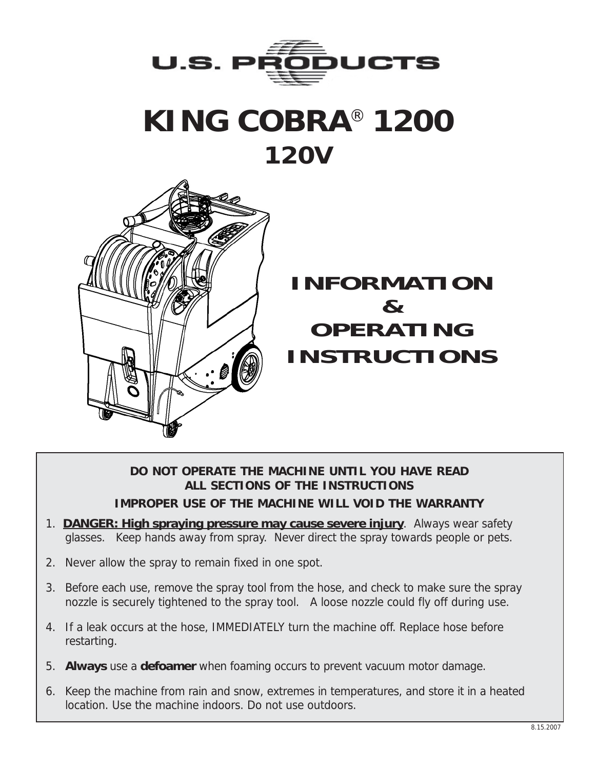

# **KING COBRA**® **1200 120V**



### **INFORMATION & OPERATING INSTRUCTIONS**

#### **DO NOT OPERATE THE MACHINE UNTIL YOU HAVE READ ALL SECTIONS OF THE INSTRUCTIONS IMPROPER USE OF THE MACHINE WILL VOID THE WARRANTY**

- 1. **DANGER: High spraying pressure may cause severe injury**. Always wear safety glasses. Keep hands away from spray. Never direct the spray towards people or pets.
- 2. Never allow the spray to remain fixed in one spot.
- 3. Before each use, remove the spray tool from the hose, and check to make sure the spray nozzle is securely tightened to the spray tool. A loose nozzle could fly off during use.
- 4. If a leak occurs at the hose, IMMEDIATELY turn the machine off. Replace hose before restarting.
- 5. **Always** use a **defoamer** when foaming occurs to prevent vacuum motor damage.
- 6. Keep the machine from rain and snow, extremes in temperatures, and store it in a heated location. Use the machine indoors. Do not use outdoors.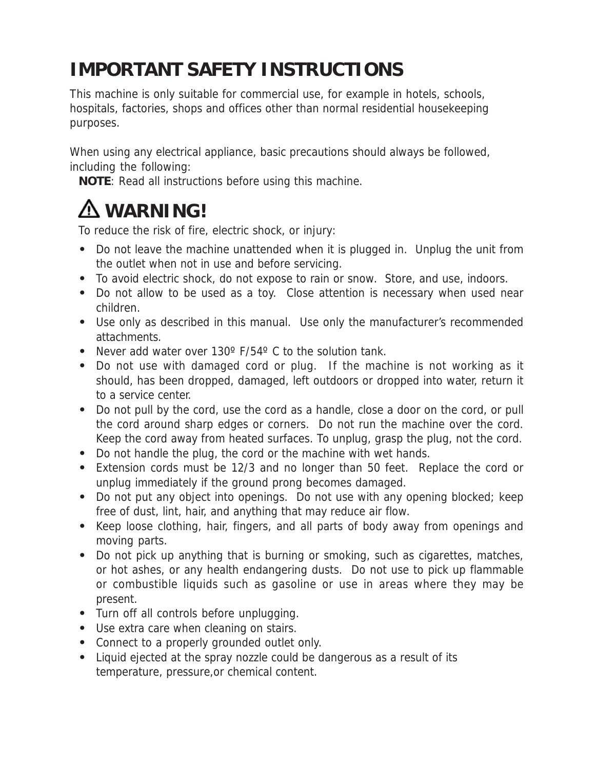### **IMPORTANT SAFETY INSTRUCTIONS**

This machine is only suitable for commercial use, for example in hotels, schools, hospitals, factories, shops and offices other than normal residential housekeeping purposes.

When using any electrical appliance, basic precautions should always be followed, including the following:

**NOTE**: Read all instructions before using this machine.

## **WARNING!**

To reduce the risk of fire, electric shock, or injury:

- **•** Do not leave the machine unattended when it is plugged in. Unplug the unit from the outlet when not in use and before servicing.
- **•** To avoid electric shock, do not expose to rain or snow. Store, and use, indoors.
- **•** Do not allow to be used as a toy. Close attention is necessary when used near children.
- **•** Use only as described in this manual. Use only the manufacturer's recommended attachments.
- **•** Never add water over 130º F/54º C to the solution tank.
- **•** Do not use with damaged cord or plug. If the machine is not working as it should, has been dropped, damaged, left outdoors or dropped into water, return it to a service center.
- **•** Do not pull by the cord, use the cord as a handle, close a door on the cord, or pull the cord around sharp edges or corners. Do not run the machine over the cord. Keep the cord away from heated surfaces. To unplug, grasp the plug, not the cord.
- **•** Do not handle the plug, the cord or the machine with wet hands.
- **•** Extension cords must be 12/3 and no longer than 50 feet. Replace the cord or unplug immediately if the ground prong becomes damaged.
- **•** Do not put any object into openings. Do not use with any opening blocked; keep free of dust, lint, hair, and anything that may reduce air flow.
- **•** Keep loose clothing, hair, fingers, and all parts of body away from openings and moving parts.
- **•** Do not pick up anything that is burning or smoking, such as cigarettes, matches, or hot ashes, or any health endangering dusts. Do not use to pick up flammable or combustible liquids such as gasoline or use in areas where they may be present.
- **•** Turn off all controls before unplugging.
- **•** Use extra care when cleaning on stairs.
- **•** Connect to a properly grounded outlet only.
- **•** Liquid ejected at the spray nozzle could be dangerous as a result of its temperature, pressure,or chemical content.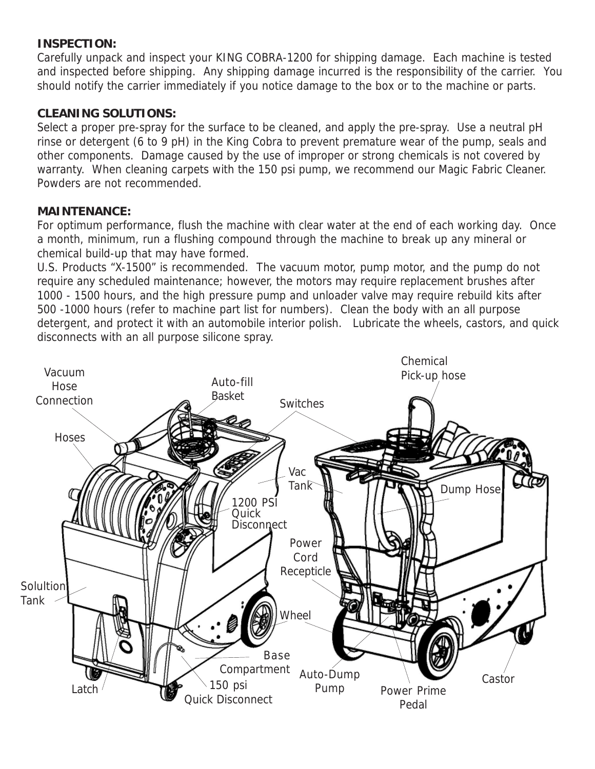#### **INSPECTION:**

Carefully unpack and inspect your KING COBRA-1200 for shipping damage. Each machine is tested and inspected before shipping. Any shipping damage incurred is the responsibility of the carrier. You should notify the carrier immediately if you notice damage to the box or to the machine or parts.

#### **CLEANING SOLUTIONS:**

Select a proper pre-spray for the surface to be cleaned, and apply the pre-spray. Use a neutral pH rinse or detergent (6 to 9 pH) in the King Cobra to prevent premature wear of the pump, seals and other components. Damage caused by the use of improper or strong chemicals is not covered by warranty. When cleaning carpets with the 150 psi pump, we recommend our Magic Fabric Cleaner. Powders are not recommended.

#### **MAINTENANCE:**

For optimum performance, flush the machine with clear water at the end of each working day. Once a month, minimum, run a flushing compound through the machine to break up any mineral or chemical build-up that may have formed.

U.S. Products "X-1500" is recommended. The vacuum motor, pump motor, and the pump do not require any scheduled maintenance; however, the motors may require replacement brushes after 1000 - 1500 hours, and the high pressure pump and unloader valve may require rebuild kits after 500 -1000 hours (refer to machine part list for numbers). Clean the body with an all purpose detergent, and protect it with an automobile interior polish. Lubricate the wheels, castors, and quick disconnects with an all purpose silicone spray.

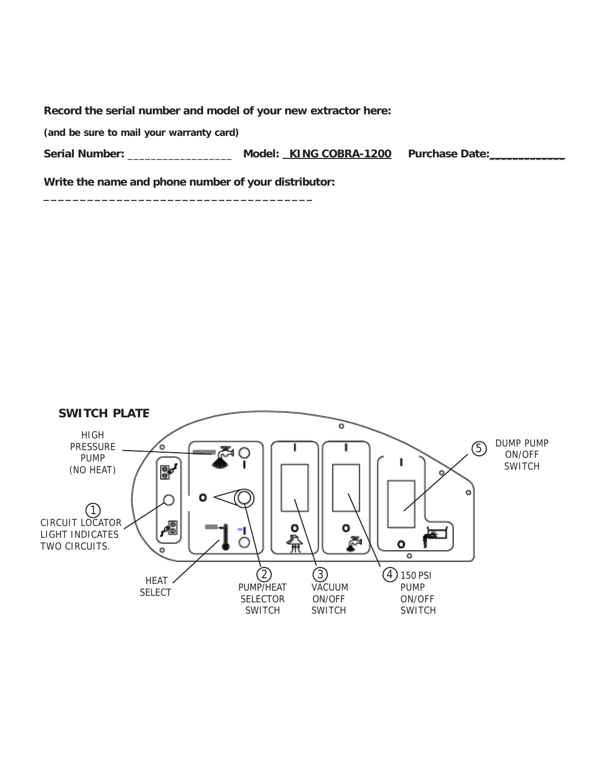**Record the serial number and model of your new extractor here:**

**(and be sure to mail your warranty card)**

**Serial Number:** \_\_\_\_\_\_\_\_\_\_\_\_\_\_\_\_\_\_ **Model: KING COBRA-1200 Purchase Date:**\_\_\_\_\_\_\_\_\_\_\_\_\_

**Write the name and phone number of your distributor:**

**\_\_\_\_\_\_\_\_\_\_\_\_\_\_\_\_\_\_\_\_\_\_\_\_\_\_\_\_\_\_\_\_\_\_\_\_\_**

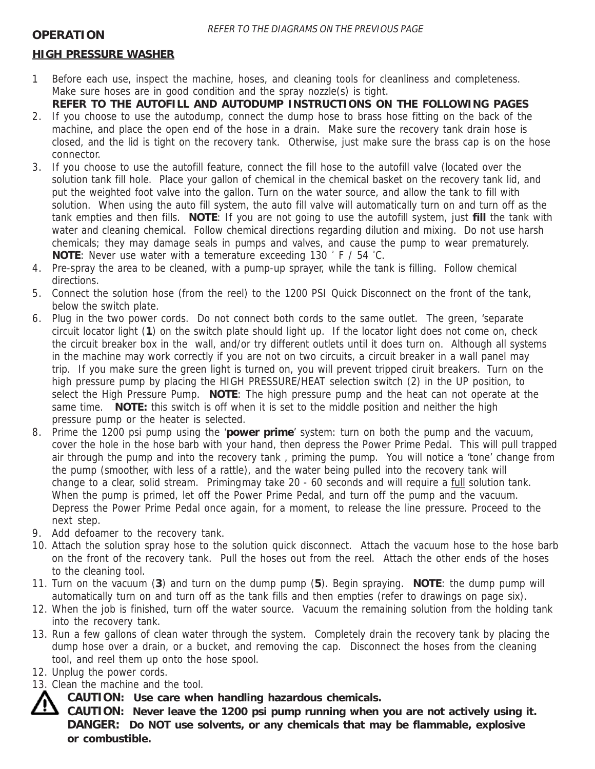#### **HIGH PRESSURE WASHER**

- 1 Before each use, inspect the machine, hoses, and cleaning tools for cleanliness and completeness. Make sure hoses are in good condition and the spray nozzle(s) is tight. **REFER TO THE AUTOFILL AND AUTODUMP INSTRUCTIONS ON THE FOLLOWING PAGES**
- 2. If you choose to use the autodump, connect the dump hose to brass hose fitting on the back of the machine, and place the open end of the hose in a drain. Make sure the recovery tank drain hose is closed, and the lid is tight on the recovery tank. Otherwise, just make sure the brass cap is on the hose connector.
- 3. If you choose to use the autofill feature, connect the fill hose to the autofill valve (located over the solution tank fill hole. Place your gallon of chemical in the chemical basket on the recovery tank lid, and put the weighted foot valve into the gallon. Turn on the water source, and allow the tank to fill with solution. When using the auto fill system, the auto fill valve will automatically turn on and turn off as the tank empties and then fills. **NOTE**: If you are not going to use the autofill system, just **fill** the tank with water and cleaning chemical. Follow chemical directions regarding dilution and mixing. Do not use harsh chemicals; they may damage seals in pumps and valves, and cause the pump to wear prematurely. **NOTE**: Never use water with a temerature exceeding 130 ° F / 54 ° C.
- 4. Pre-spray the area to be cleaned, with a pump-up sprayer, while the tank is filling. Follow chemical directions.
- 5. Connect the solution hose (from the reel) to the 1200 PSI Quick Disconnect on the front of the tank, below the switch plate.
- 6. Plug in the two power cords. Do not connect both cords to the same outlet. The green, 'separate circuit locator light (**1**) on the switch plate should light up. If the locator light does not come on, check the circuit breaker box in the wall, and/or try different outlets until it does turn on. Although all systems in the machine may work correctly if you are not on two circuits, a circuit breaker in a wall panel may trip. If you make sure the green light is turned on, you will prevent tripped ciruit breakers. Turn on the high pressure pump by placing the HIGH PRESSURE/HEAT selection switch (2) in the UP position, to select the High Pressure Pump. **NOTE**: The high pressure pump and the heat can not operate at the same time. **NOTE:** this switch is off when it is set to the middle position and neither the high pressure pump or the heater is selected.
- 8. Prime the 1200 psi pump using the '**power prime**' system: turn on both the pump and the vacuum, cover the hole in the hose barb with your hand, then depress the Power Prime Pedal. This will pull trapped air through the pump and into the recovery tank , priming the pump. You will notice a 'tone' change from the pump (smoother, with less of a rattle), and the water being pulled into the recovery tank will change to a clear, solid stream. Primingmay take 20 - 60 seconds and will require a full solution tank. When the pump is primed, let off the Power Prime Pedal, and turn off the pump and the vacuum. Depress the Power Prime Pedal once again, for a moment, to release the line pressure. Proceed to the next step.
- 9. Add defoamer to the recovery tank.
- 10. Attach the solution spray hose to the solution quick disconnect. Attach the vacuum hose to the hose barb on the front of the recovery tank. Pull the hoses out from the reel. Attach the other ends of the hoses to the cleaning tool.
- 11. Turn on the vacuum (**3**) and turn on the dump pump (**5**). Begin spraying. **NOTE**: the dump pump will automatically turn on and turn off as the tank fills and then empties (refer to drawings on page six).
- 12. When the job is finished, turn off the water source. Vacuum the remaining solution from the holding tank into the recovery tank.
- 13. Run a few gallons of clean water through the system. Completely drain the recovery tank by placing the dump hose over a drain, or a bucket, and removing the cap. Disconnect the hoses from the cleaning tool, and reel them up onto the hose spool.
- 12. Unplug the power cords.
- 13. Clean the machine and the tool.
	- **CAUTION: Use care when handling hazardous chemicals.**

**CAUTION: Never leave the 1200 psi pump running when you are not actively using it. DANGER: Do NOT use solvents, or any chemicals that may be flammable, explosive or combustible.**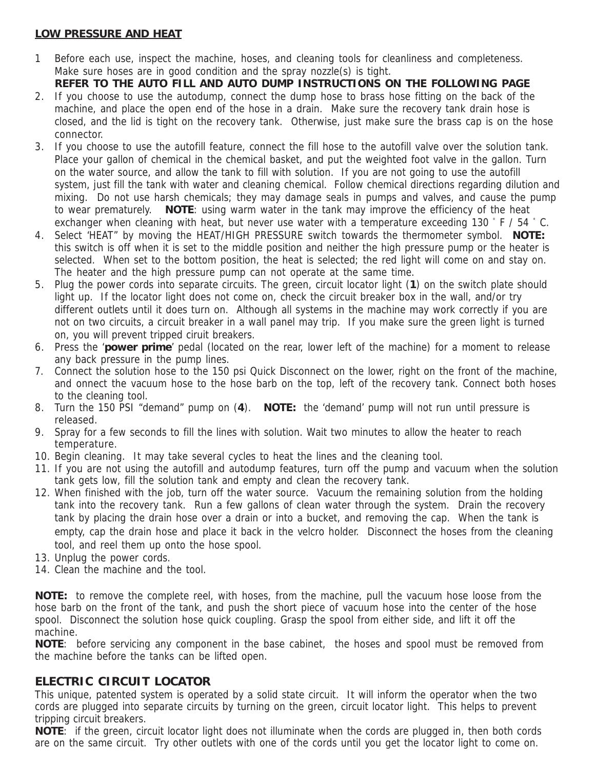#### **LOW PRESSURE AND HEAT**

- 1 Before each use, inspect the machine, hoses, and cleaning tools for cleanliness and completeness. Make sure hoses are in good condition and the spray nozzle(s) is tight.
- **REFER TO THE AUTO FILL AND AUTO DUMP INSTRUCTIONS ON THE FOLLOWING PAGE** 2. If you choose to use the autodump, connect the dump hose to brass hose fitting on the back of the machine, and place the open end of the hose in a drain. Make sure the recovery tank drain hose is closed, and the lid is tight on the recovery tank. Otherwise, just make sure the brass cap is on the hose connector.
- 3. If you choose to use the autofill feature, connect the fill hose to the autofill valve over the solution tank. Place your gallon of chemical in the chemical basket, and put the weighted foot valve in the gallon. Turn on the water source, and allow the tank to fill with solution. If you are not going to use the autofill system, just fill the tank with water and cleaning chemical. Follow chemical directions regarding dilution and mixing. Do not use harsh chemicals; they may damage seals in pumps and valves, and cause the pump to wear prematurely. **NOTE**: using warm water in the tank may improve the efficiency of the heat exchanger when cleaning with heat, but never use water with a temperature exceeding 130 °F / 54 °C.
- 4. Select 'HEAT" by moving the HEAT/HIGH PRESSURE switch towards the thermometer symbol. **NOTE:** this switch is off when it is set to the middle position and neither the high pressure pump or the heater is selected. When set to the bottom position, the heat is selected; the red light will come on and stay on. The heater and the high pressure pump can not operate at the same time.
- 5. Plug the power cords into separate circuits. The green, circuit locator light (**1**) on the switch plate should light up. If the locator light does not come on, check the circuit breaker box in the wall, and/or try different outlets until it does turn on. Although all systems in the machine may work correctly if you are not on two circuits, a circuit breaker in a wall panel may trip. If you make sure the green light is turned on, you will prevent tripped ciruit breakers.
- 6. Press the '**power prime**' pedal (located on the rear, lower left of the machine) for a moment to release any back pressure in the pump lines.
- 7. Connect the solution hose to the 150 psi Quick Disconnect on the lower, right on the front of the machine, and onnect the vacuum hose to the hose barb on the top, left of the recovery tank. Connect both hoses to the cleaning tool.
- 8. Turn the 150 PSI "demand" pump on (**4**). **NOTE:** the 'demand' pump will not run until pressure is released.
- 9. Spray for a few seconds to fill the lines with solution. Wait two minutes to allow the heater to reach temperature.
- 10. Begin cleaning. It may take several cycles to heat the lines and the cleaning tool.
- 11. If you are not using the autofill and autodump features, turn off the pump and vacuum when the solution tank gets low, fill the solution tank and empty and clean the recovery tank.
- 12. When finished with the job, turn off the water source. Vacuum the remaining solution from the holding tank into the recovery tank. Run a few gallons of clean water through the system. Drain the recovery tank by placing the drain hose over a drain or into a bucket, and removing the cap. When the tank is empty, cap the drain hose and place it back in the velcro holder. Disconnect the hoses from the cleaning tool, and reel them up onto the hose spool.
- 13. Unplug the power cords.
- 14. Clean the machine and the tool.

**NOTE:** to remove the complete reel, with hoses, from the machine, pull the vacuum hose loose from the hose barb on the front of the tank, and push the short piece of vacuum hose into the center of the hose spool. Disconnect the solution hose quick coupling. Grasp the spool from either side, and lift it off the machine.

**NOTE**: before servicing any component in the base cabinet, the hoses and spool must be removed from the machine before the tanks can be lifted open.

#### **ELECTRIC CIRCUIT LOCATOR**

This unique, patented system is operated by a solid state circuit. It will inform the operator when the two cords are plugged into separate circuits by turning on the green, circuit locator light. This helps to prevent tripping circuit breakers.

**NOTE**: if the green, circuit locator light does not illuminate when the cords are plugged in, then both cords are on the same circuit. Try other outlets with one of the cords until you get the locator light to come on.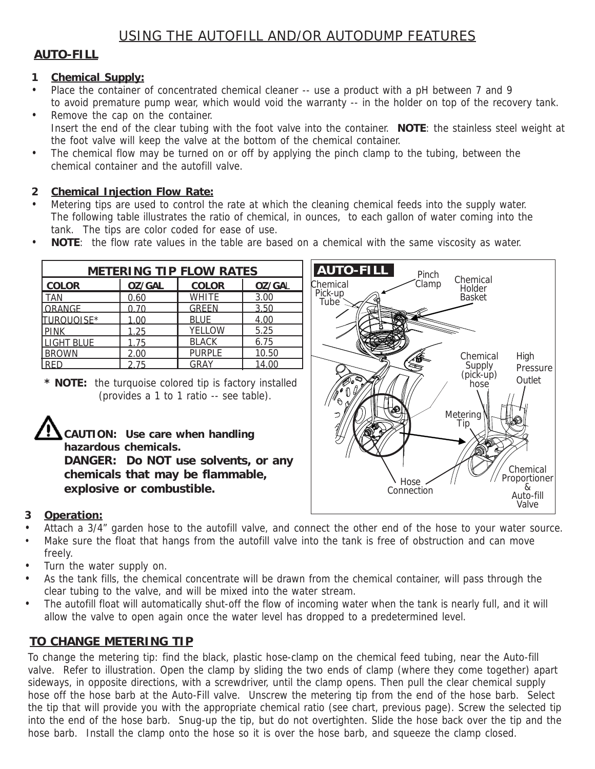#### **AUTO-FILL**

#### **1 Chemical Supply:**

- Place the container of concentrated chemical cleaner -- use a product with a pH between 7 and 9 to avoid premature pump wear, which would void the warranty -- in the holder on top of the recovery tank.
- Remove the cap on the container. Insert the end of the clear tubing with the foot valve into the container. **NOTE**: the stainless steel weight at the foot valve will keep the valve at the bottom of the chemical container.
- The chemical flow may be turned on or off by applying the pinch clamp to the tubing, between the chemical container and the autofill valve.

#### **2 Chemical Injection Flow Rate:**

- Metering tips are used to control the rate at which the cleaning chemical feeds into the supply water. The following table illustrates the ratio of chemical, in ounces, to each gallon of water coming into the tank. The tips are color coded for ease of use.
- **NOTE**: the flow rate values in the table are based on a chemical with the same viscosity as water.

| <b>METERING TIP FLOW RATES</b> |               |               |               |  |
|--------------------------------|---------------|---------------|---------------|--|
| <b>COLOR</b>                   | <b>OZ/GAL</b> | <b>COLOR</b>  | <b>OZ/GAL</b> |  |
| <b>TAN</b>                     | 0.60          | <b>WHITE</b>  | 3.00          |  |
| ORANGE                         | 0 70          | <b>GREEN</b>  | 3.50          |  |
| TUROUOISE*                     | 1.00          | <b>BLUE</b>   | 4.00          |  |
| <b>PINK</b>                    | 1.25          | YELLOW        | 5.25          |  |
| <b>LIGHT BLUE</b>              | 1.75          | <b>BLACK</b>  | 6.75          |  |
| <b>BROWN</b>                   | 2.00          | <b>PURPLE</b> | 10.50         |  |
| <b>RFD</b>                     | 275           | <b>GRAY</b>   | 14.00         |  |

**<sup>\*</sup> NOTE:** the turquoise colored tip is factory installed (provides a 1 to 1 ratio -- see table).





#### **3 Operation:**

- Attach a 3/4" garden hose to the autofill valve, and connect the other end of the hose to your water source.
- Make sure the float that hangs from the autofill valve into the tank is free of obstruction and can move freely.
- Turn the water supply on.
- As the tank fills, the chemical concentrate will be drawn from the chemical container, will pass through the clear tubing to the valve, and will be mixed into the water stream.
- The autofill float will automatically shut-off the flow of incoming water when the tank is nearly full, and it will allow the valve to open again once the water level has dropped to a predetermined level.

#### **TO CHANGE METERING TIP**

To change the metering tip: find the black, plastic hose-clamp on the chemical feed tubing, near the Auto-fill valve. Refer to illustration. Open the clamp by sliding the two ends of clamp (where they come together) apart sideways, in opposite directions, with a screwdriver, until the clamp opens. Then pull the clear chemical supply hose off the hose barb at the Auto-Fill valve. Unscrew the metering tip from the end of the hose barb. Select the tip that will provide you with the appropriate chemical ratio (see chart, previous page). Screw the selected tip into the end of the hose barb. Snug-up the tip, but do not overtighten. Slide the hose back over the tip and the hose barb. Install the clamp onto the hose so it is over the hose barb, and squeeze the clamp closed.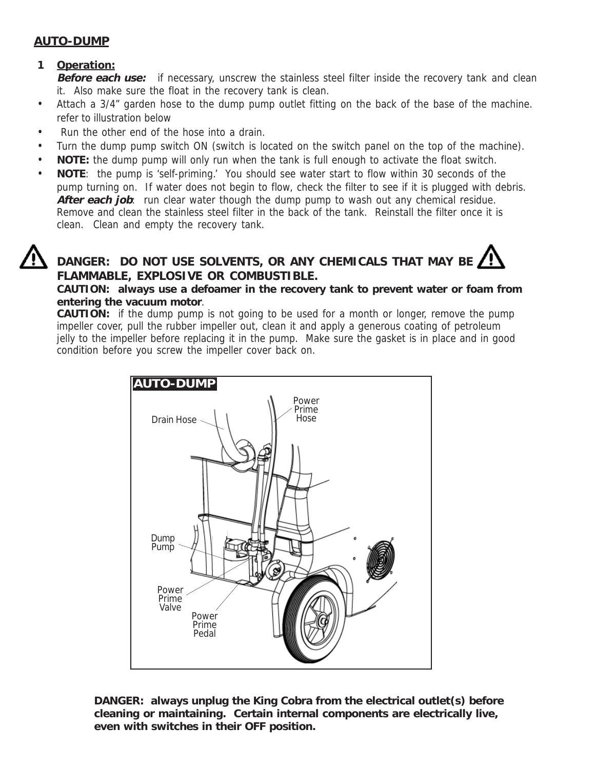#### **AUTO-DUMP**

#### **1 Operation:**

**Before each use:** if necessary, unscrew the stainless steel filter inside the recovery tank and clean it. Also make sure the float in the recovery tank is clean.

- Attach a 3/4" garden hose to the dump pump outlet fitting on the back of the base of the machine. refer to illustration below
- Run the other end of the hose into a drain.
- Turn the dump pump switch ON (switch is located on the switch panel on the top of the machine).
- **NOTE:** the dump pump will only run when the tank is full enough to activate the float switch.
- **NOTE**: the pump is 'self-priming.' You should see water start to flow within 30 seconds of the pump turning on. If water does not begin to flow, check the filter to see if it is plugged with debris. After each job: run clear water though the dump pump to wash out any chemical residue. Remove and clean the stainless steel filter in the back of the tank. Reinstall the filter once it is clean. Clean and empty the recovery tank.

### **DANGER: DO NOT USE SOLVENTS, OR ANY CHEMICALS THAT MAY BE FLAMMABLE, EXPLOSIVE OR COMBUSTIBLE.**

#### **CAUTION: always use a defoamer in the recovery tank to prevent water or foam from entering the vacuum motor**.

**CAUTION:** if the dump pump is not going to be used for a month or longer, remove the pump impeller cover, pull the rubber impeller out, clean it and apply a generous coating of petroleum jelly to the impeller before replacing it in the pump. Make sure the gasket is in place and in good condition before you screw the impeller cover back on.



**DANGER: always unplug the King Cobra from the electrical outlet(s) before cleaning or maintaining. Certain internal components are electrically live, even with switches in their OFF position.**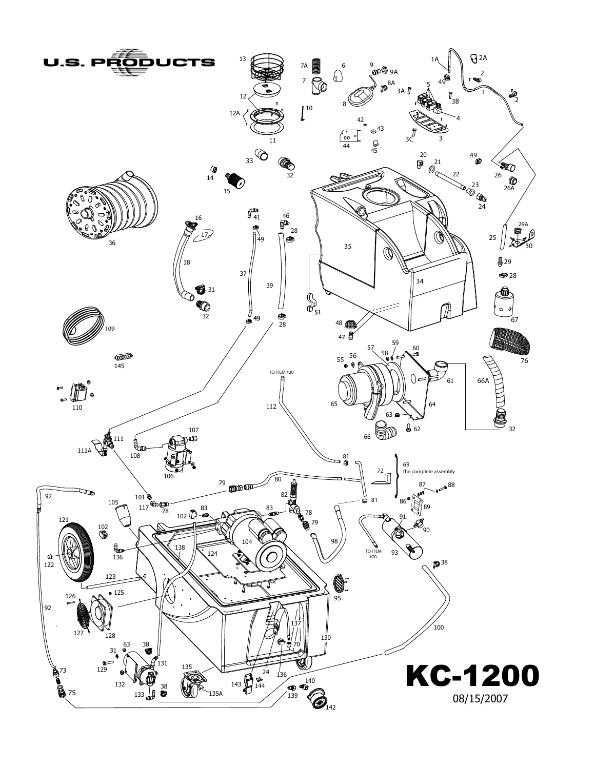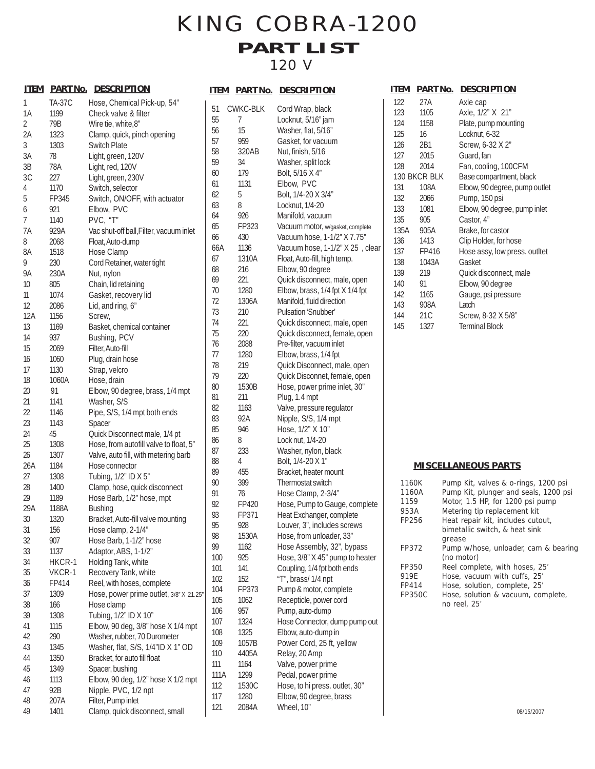### KING COBRA-1200 **PART LIST** 120 V

| <u>ITEM</u> | <u>PART No.</u> | <b>DESCRIPTION</b>                      |
|-------------|-----------------|-----------------------------------------|
| 1           | TA-37C          | Hose, Chemical Pick-up, 54"             |
| 1Α          | 1199            | Check valve & filter                    |
| 2           | 79B             | Wire tie, white, 8"                     |
| 2A          | 1323            | Clamp, quick, pinch opening             |
| 3           | 1303            | Switch Plate                            |
| 3A          | 78              | Light, green, 120V                      |
| 3B          | 78A             | Light, red, 120V                        |
| 3C          | 227             | Light, green, 230V                      |
| 4           | 1170            | Switch, selector                        |
| 5           | FP345           | Switch, ON/OFF, with actuator           |
| 6           | 921             | Elbow, PVC                              |
| 7           | 1140            | PVC, "T"                                |
| 7A          | 929A            | Vac shut-off ball, Filter, vacuum inlet |
| 8           | 2068            | Float, Auto-dump                        |
| 8A          | 1518            | Hose Clamp                              |
| 9           | 230             | Cord Retainer, water tight              |
| 9Α          | 230A            | Nut, nylon                              |
| 10          | 805             | Chain, lid retaining                    |
| 11          | 1074            | Gasket, recovery lid                    |
| 12          | 2086            | Lid, and ring, 6"                       |
| 12A         | 1156            | Screw,                                  |
| 13          | 1169            | Basket, chemical container              |
| 14          | 937             | Bushing, PCV                            |
| 15          | 2069            | Filter, Auto-fill                       |
| 16          | 1060            | Plug, drain hose                        |
| 17          | 1130            | Strap, velcro                           |
| 18          | 1060A           | Hose, drain                             |
| 20          | 91              | Elbow, 90 degree, brass, 1/4 mpt        |
| 21          | 1141            | Washer, S/S                             |
| 22          | 1146            | Pipe, S/S, 1/4 mpt both ends            |
| 23          | 1143            | Spacer                                  |
| 24          | 45              | Quick Disconnect male, 1/4 pt           |
| 25          | 1308            | Hose, from autofill valve to float, 5"  |
| 26          | 1307            | Valve, auto fill, with metering barb    |
| 26A         |                 |                                         |
| 27          | 1184            | Hose connector                          |
| 28          | 1308            | Tubing, 1/2" ID X 5"                    |
|             | 1400            | Clamp, hose, quick disconnect           |
| 29<br>29A   | 1189            | Hose Barb, 1/2" hose, mpt               |
|             | 1188A           | <b>Bushing</b>                          |
| 30          | 1320            | Bracket, Auto-fill valve mounting       |
| 31          | 156             | Hose clamp, 2-1/4"                      |
| 32          | 907             | Hose Barb, 1-1/2" hose                  |
| 33          | 1137            | Adaptor, ABS, 1-1/2"                    |
| 34          | HKCR-1          | Holding Tank, white                     |
| 35          | VKCR-1          | Recovery Tank, white                    |
| 36          | FP414           | Reel, with hoses, complete              |
| 37          | 1309            | Hose, power prime outlet, 3/8" X 21.25" |
| 38          | 166             | Hose clamp                              |
| 39          | 1308            | Tubing, 1/2" ID X 10"                   |
| 41          | 1115            | Elbow, 90 deg, 3/8" hose X 1/4 mpt      |
| 42          | 290             | Washer, rubber, 70 Durometer            |
| 43          | 1345            | Washer, flat, S/S, 1/4"ID X 1" OD       |
| 44          | 1350            | Bracket, for auto fill float            |
| 45          | 1349            | Spacer, bushing                         |
| 46          | 1113            | Elbow, 90 deg, 1/2" hose X 1/2 mpt      |
| 47          | 92B             | Nipple, PVC, 1/2 npt                    |
| 48          | 207A            | Filter, Pump inlet                      |
| 49          | 1401            | Clamp, quick disconnect, small          |

|          |                 | <b>ITEM PARTINO. DESCRIPTION</b>           |
|----------|-----------------|--------------------------------------------|
| 51       | <b>CWKC-BLK</b> | Cord Wrap, black                           |
| 55       | 7               | Locknut, 5/16" jam                         |
| 56       | 15              | Washer, flat, 5/16"                        |
| 57       | 959             | Gasket, for vacuum                         |
| 58       | 320AB           | Nut, finish, 5/16                          |
| 59       | 34              | Washer, split lock                         |
| 60       | 179             | Bolt, 5/16 X 4"                            |
| 61       | 1131            | Elbow, PVC                                 |
| 62       | 5               | Bolt, 1/4-20 X 3/4"                        |
| 63       | 8               | Locknut, 1/4-20                            |
| 64       | 926             | Manifold, vacuum                           |
| 65       | FP323           | Vacuum motor, w/gasket, complete           |
| 66       | 430             | Vacuum hose, 1-1/2" X 7.75"                |
| 66A      | 1136            | Vacuum hose, 1-1/2" X 25, clear            |
| 67       | 1310A           | Float, Auto-fill, high temp.               |
| 68       | 216             | Elbow, 90 degree                           |
| 69       | 221             | Quick disconnect, male, open               |
| 70       | 1280            | Elbow, brass, 1/4 fpt X 1/4 fpt            |
| 72       | 1306A           | Manifold, fluid direction                  |
| 73       | 210             | Pulsation 'Snubber'                        |
| 74       | 221             | Quick disconnect, male, open               |
| 75       | 220             | Quick disconnect, female, open             |
| 76       | 2088            | Pre-filter, vacuum inlet                   |
| 77       | 1280            | Elbow, brass, 1/4 fpt                      |
| 78       | 219             | Quick Disconnect, male, open               |
| 79       | 220             | Quick Disconnet, female, open              |
| 80<br>81 | 1530B<br>211    | Hose, power prime inlet, 30"               |
| 82       | 1163            | Plug, 1.4 mpt<br>Valve, pressure regulator |
| 83       | 92A             | Nipple, S/S, 1/4 mpt                       |
| 85       | 946             | Hose, 1/2" X 10"                           |
| 86       | 8               | Lock nut, 1/4-20                           |
| 87       | 233             | Washer, nylon, black                       |
| 88       | 4               | Bolt, 1/4-20 X 1"                          |
| 89       | 455             | Bracket, heater mount                      |
| 90       | 399             | Thermostat switch                          |
| 91       | 76              | Hose Clamp, 2-3/4"                         |
| 92       | FP420           | Hose, Pump to Gauge, complete              |
| 93       | FP371           | Heat Exchanger, complete                   |
| 95       | 928             | Louver, 3", includes screws                |
| 98       | 1530A           | Hose, from unloader, 33"                   |
| 99       | 1162            | Hose Assembly, 32", bypass                 |
| 100      | 925             | Hose, 3/8" X 45" pump to heater            |
| 101      | 141             | Coupling, 1/4 fpt both ends                |
| 102      | 152             | "T", brass/ 1/4 npt                        |
| 104      | FP373           | Pump & motor, complete                     |
| 105      | 1062            | Recepticle, power cord                     |
| 106      | 957             | Pump, auto-dump                            |
| 107      | 1324            | Hose Connector, dump pump out              |
| 108      | 1325            | Elbow, auto-dump in                        |
| 109      | 1057B           | Power Cord, 25 ft, yellow                  |
| 110      | 4405A           | Relay, 20 Amp                              |
| 111      | 1164            | Valve, power prime                         |
| 111A     | 1299            | Pedal, power prime                         |
| 112      | 1530C           | Hose, to hi press. outlet, 30"             |
| 117      | 1280            | Elbow, 90 degree, brass                    |
| 121      | 2084A           | Wheel, 10"                                 |

| <u>ITEM</u> | <b>PART No.</b> | <b>DESCRIPTION</b>            |
|-------------|-----------------|-------------------------------|
|             |                 |                               |
| 122         | 27A             | Axle cap                      |
| 123         | 1105            | Axle, 1/2" X 21"              |
| 124         | 1158            | Plate, pump mounting          |
| 125         | 16              | Locknut, 6-32                 |
| 126         | 2B1             | Screw, 6-32 X 2"              |
| 127         | 2015            | Guard, fan                    |
| 128         | 2014            | Fan, cooling, 100CFM          |
|             | 130 BKCR BLK    | Base compartment, black       |
| 131         | 108A            | Elbow, 90 degree, pump outlet |
| 132         | 2066            | Pump, 150 psi                 |
| 133         | 1081            | Elbow, 90 degree, pump inlet  |
| 135         | 905             | Castor, 4"                    |
|             | 135A 905A       | Brake, for castor             |
| 136         | 1413            | Clip Holder, for hose         |
| 137         | FP416           | Hose assy, low press. outltet |
| 138         | 1043A           | Gasket                        |
| 139         | 219             | Quick disconnect, male        |
| 140         | 91              | Elbow, 90 degree              |
| 142         | 1165            | Gauge, psi pressure           |
| 143         | 908A            | Latch                         |
| 144         | 21 <sub>C</sub> | Screw, 8-32 X 5/8"            |
| 145         | 1327            | <b>Terminal Block</b>         |
|             |                 |                               |

#### **MISCELLANEOUS PARTS**

| Pump Kit, valves & o-rings, 1200 psi  |
|---------------------------------------|
| Pump Kit, plunger and seals, 1200 psi |
| Motor, 1.5 HP, for 1200 psi pump      |
| Metering tip replacement kit          |
| Heat repair kit, includes cutout,     |
| bimetallic switch, & heat sink        |
| grease                                |
| Pump w/hose, unloader, cam & bearing  |
| (no motor)                            |
| Reel complete, with hoses, 25'        |
| Hose, vacuum with cuffs, 25'          |
| Hose, solution, complete, 25'         |
| Hose, solution & vacuum, complete,    |
| no reel, 25'                          |
|                                       |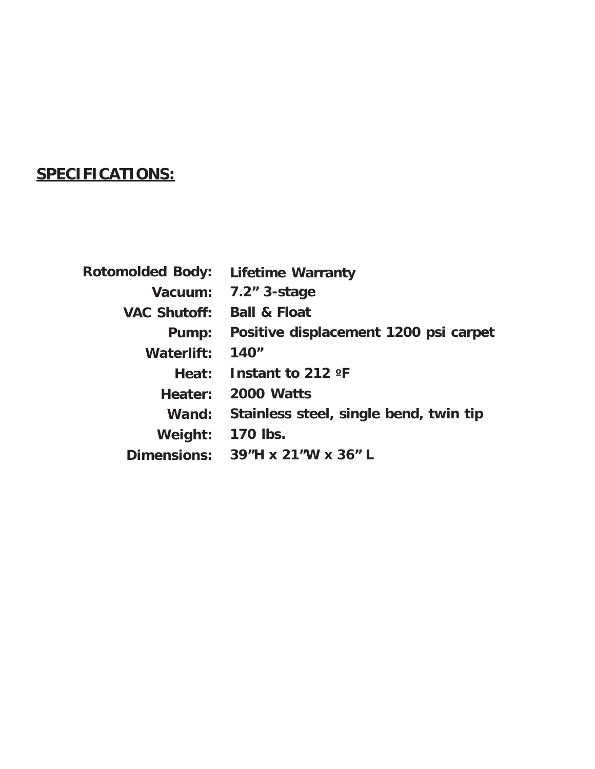### **SPECIFICATIONS:**

| <b>Rotomolded Body:</b> | <b>Lifetime Warranty</b>               |
|-------------------------|----------------------------------------|
| Vacuum:                 | $7.2"$ 3-stage                         |
| <b>VAC Shutoff:</b>     | <b>Ball &amp; Float</b>                |
| Pump:                   | Positive displacement 1200 psi carpet  |
| Waterlift:              | 140"                                   |
| Heat:                   | Instant to 212 $\textdegree$ F         |
| Heater:                 | 2000 Watts                             |
| Wand:                   | Stainless steel, single bend, twin tip |
| Weight:                 | 170 lbs.                               |
| <b>Dimensions:</b>      | 39"H x 21"W x 36"L                     |
|                         |                                        |